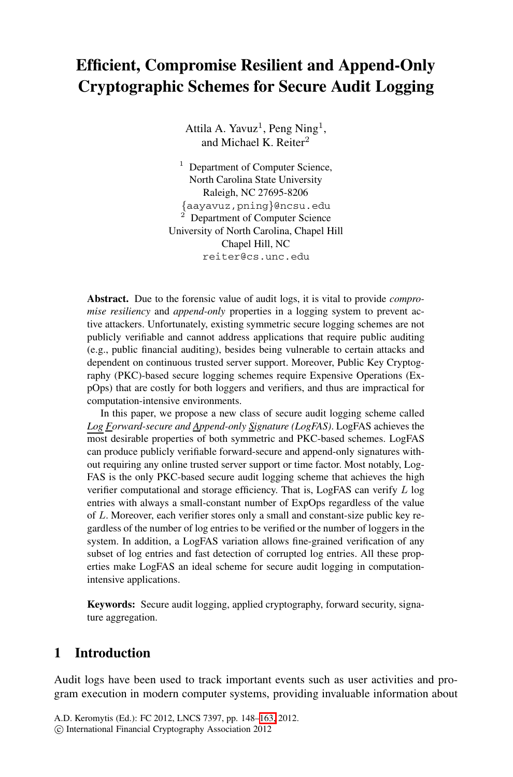# **Efficient, Compromise Resilient and Append-Only Cryptographic Schemes for Secure Audit Logging**

Attila A. Yavuz<sup>1</sup>, Peng Ning<sup>1</sup>, and Michael K. Reiter<sup>2</sup>

<sup>1</sup> Department of Computer Science, North Carolina State University Raleigh, NC 27695-8206 *{*aayavuz,pning*}*@ncsu.edu <sup>2</sup> Department of Computer Science University of North Carolina, Chapel Hill Chapel Hill, NC reiter@cs.unc.edu

**Abstract.** Due to the forensic value of audit logs, it is vital to provide *compromise resiliency* and *append-only* properties in a logging system to prevent active attackers. Unfortunately, existing symmetric secure logging schemes are not publicly verifiable and cannot address applications that require public auditing (e.g., public financial auditing), besides being vulnerable to certain attacks and dependent on continuous trusted server support. Moreover, Public Key Cryptography (PKC)-based secure logging schemes require Expensive Operations (ExpOps) that are costly for both loggers and verifiers, and thus are impractical for computation-intensive environments.

In this paper, we propose a new class of secure audit logging scheme called *Log Forward-secure and Append-only Signature (LogFAS)*. LogFAS achieves the most desirable properties of both symmetric and PKC-based schemes. LogFAS can produce publicly verifiable forward-secure and append-only signatures without requiring any online trusted server support or time factor. Most notably, Log-FAS is the only PKC-based secure audit logging scheme that achieves the high verifier computational and storage efficiency. That is, LogFAS can verify *L* log entries with always a small-constant number of ExpOps regardless of the value of *L*. Moreover, each verifier stores only a small and constant-size public key regardless of the number of log entries to be verified or the number of loggers in the system. In addition, a LogFAS variation allows fine-grained verification of any subset of log entries and fast detection of corrupted log entries. All these properties make LogFAS an ideal scheme for secure audit logging in computationintensive applications.

**Keywords:** Secur[e aud](#page-15-0)it logging, applied cryptography, forward security, signature aggregation.

# **1 Introduction**

Audit logs have been used to track important events such as user activities and program execution in modern computer systems, providing invaluable information about

A.D. Keromytis (Ed.): FC 2012, LNCS 7397, pp. 148–163, 2012.  $\odot$  International Financial Cryptography Association 2012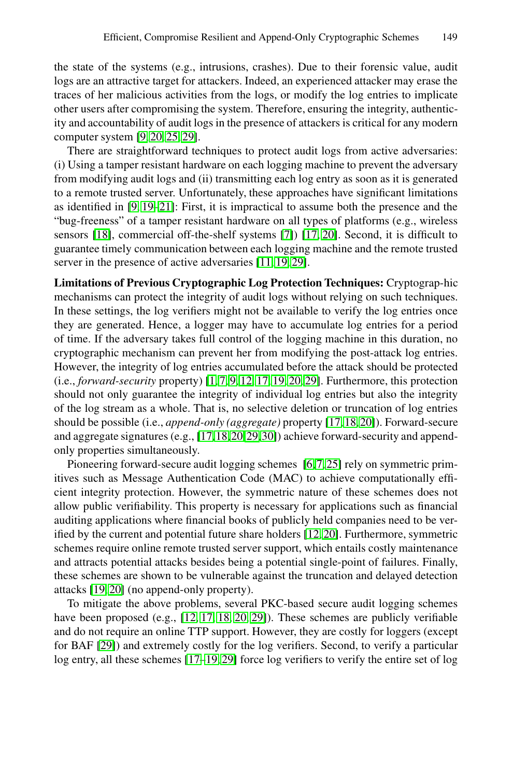the state of the systems (e.g., intrusions, crashes). Due to their forensic value, audit logs are an attractive target for attackers. Indeed, an experienced attacker may erase the [tra](#page-14-0)[ces](#page-14-1) of her malicious activities from the logs, or modify the log entries to implicate other users after compromising the system. Therefore, ensuring the integrity, authenticity and accountability of audi[t lo](#page-14-2)gs [in t](#page-14-3)[he p](#page-14-4)resence of attackers is critical for any modern computer system [9, 20, 25, 29].

There are straightfor[war](#page-14-5)[d te](#page-14-0)[chn](#page-15-1)iques to protect audit logs from active adversaries: (i) Using a tamper resistant hardware on each logging machine to prevent the adversary from modifying audit logs and (ii) transmitting each log entry as soon as it is generated to a remote trusted server. Unfortunately, these approaches have significant limitations as identified in [9, 19–21]: First, it is impractical to assume both the presence and the "bug-freeness" of a tamper resistant hardware on all types of platforms (e.g., wireless sensors [18], commercial off-the-shelf systems [7]) [17, 20]. Second, it is difficult to guarantee timely communication between each logging machine and the remote trusted server in the presence of active adversaries [11, 19, 29].

**Limitations [of](#page-13-0) [Pr](#page-14-2)[ev](#page-14-6)[iou](#page-14-7)[s](#page-14-3) [C](#page-14-3)[ryp](#page-14-0)[tog](#page-14-4)[rap](#page-15-1)hic Log Protection Techniques:** Cryptograp-hic mechanisms can protect the integrity of audit logs without relying on such techniques. In these settings, the log verifiers mig[ht n](#page-14-3)[ot b](#page-14-8)[e av](#page-14-4)ailable to verify the log entries once they are ge[ner](#page-14-3)[ate](#page-14-8)[d. H](#page-14-4)[en](#page-15-1)[ce,](#page-15-2) a logger may have to accumulate log entries for a period of time. If the adversary takes full control of the logging machine in this duration, no cryptographic mechanism can pre[ve](#page-14-9)[nt](#page-14-2) [her](#page-14-10) from modifying the post-attack log entries. However, the integrity of log entries accumulated before the attack should be protected (i.e., *forward-security* property) [1, 7, 9, 12, 17, 19, 20, 29]. Furthermore, this protection should not only guarantee the integrity of individual log entries but also the integrity of the log stream as a whole. That is, no selective deletion or truncation of log entries should be possible (i.e., *append-o[nly \(](#page-14-7)[agg](#page-14-4)regate)* property [17,18,20]). Forward-secure and aggregate signatures (e.g., [17,18,20,29,30]) achieve forward-security and appendonly properties simultaneously.

Pioneering forward-secure audit logging schemes [6,7,25] rely on symmetric primitives such as Message Authentication Code (MAC) to achieve computationally efficient integrity protection. However, the symmetric nature of these schemes does not allow p[ubli](#page-14-7)[c ve](#page-14-3)[rifi](#page-14-8)[abil](#page-14-4)[ity.](#page-15-1) This property is necessary for applications such as financial auditing applications where financial books of publicly held companies need to be verified by the current and potential future share holders [12, 20]. Furthermore, symmetric schemes [req](#page-14-3)[uire](#page-14-0) [on](#page-15-1)line remote trusted server support, which entails costly maintenance and attracts potential attacks besides being a potential single-point of failures. Finally, these schemes are shown to be vulnerable against the truncation and delayed detection attacks [19, 20] (no append-only property).

To mitigate the above problems, several PKC-based secure audit logging schemes have been proposed (e.g., [12, 17, 18, 20, 29]). These schemes are publicly verifiable and do not require an online TTP support. However, they are costly for loggers (except for BAF [29]) and extremely costly for the log verifiers. Second, to verify a particular log entry, all these schemes [17–19, 29] force log verifiers to verify the entire set of log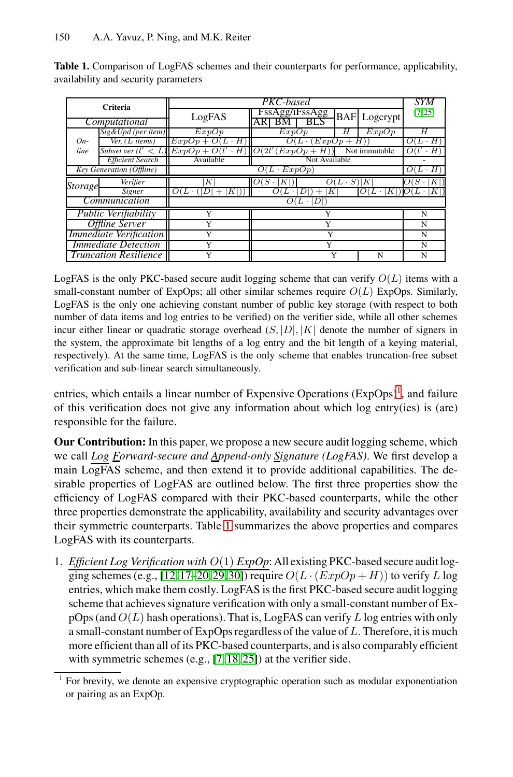#### <span id="page-2-1"></span>150 A.A. Yavuz, P. Ning, and M.K. Reiter

| Criteria       |                                                 |                                 | SYM                     |     |                                |                    |           |  |  |  |
|----------------|-------------------------------------------------|---------------------------------|-------------------------|-----|--------------------------------|--------------------|-----------|--|--|--|
|                | Computational                                   | LogFAS                          | FssAgg/iFssAgg<br>AΚ    | BLS | <b>BAF</b> Logcrypt            |                    | [7, 25]   |  |  |  |
|                | $Sig&Upd$ (per item)                            | ExpOp                           | ExpOp                   |     | H                              | $\overline{ExpOp}$ | Ή         |  |  |  |
| On-            | Ver, $(L$ items)                                | $ExpOp + O(L \cdot H)$          | $O(L \cdot (ExpOp + H)$ |     | $L\cdot H^2$<br>O <sub>1</sub> |                    |           |  |  |  |
| line           | Subset ver $(l' < L)$ $\rightarrow$ $ExpOp + O$ | $\cdot H$                       | $ExpOp + H$             | Н   |                                |                    |           |  |  |  |
|                | <b>Efficient Search</b>                         | Available                       |                         |     |                                |                    |           |  |  |  |
|                | Key Generation (Offline)                        |                                 | $(L \cdot H)$<br>Ο      |     |                                |                    |           |  |  |  |
| <b>Storage</b> | Verifier                                        | $S$ ) $K$<br>K<br>$\frac{1}{2}$ |                         |     |                                |                    | $K \vert$ |  |  |  |
|                | <b>Signer</b>                                   | $O(L+1)$<br>K                   |                         |     |                                |                    |           |  |  |  |
|                | Communication                                   | $O(L \cdot  D )$                |                         |     |                                |                    |           |  |  |  |
|                | <i>Public Verifiability</i>                     |                                 |                         | N   |                                |                    |           |  |  |  |
|                | Offline Server                                  | Y                               |                         |     |                                |                    | N         |  |  |  |
|                | <i>Immediate Verification</i>                   |                                 |                         | N   |                                |                    |           |  |  |  |
|                | <b>Immediate Detection</b>                      |                                 | v                       |     |                                |                    | N         |  |  |  |
|                | <i>Truncation Resilience</i>                    |                                 | v                       |     |                                | N                  | N         |  |  |  |

**Table 1.** Comparison of LogFAS schemes and their counterparts for performance, applicability, availability and security parameters

LogFAS is the only PKC-based secure audit logging sche[me](#page-2-0) that can verify  $O(L)$  items with a small-constant number of ExpOps; all other similar schemes require *O*(*L*) ExpOps. Similarly, LogFAS is the only one achieving constant number of public key storage (with respect to both number of data items and log entries to be verified) on the verifier side, while all other schemes incur either linear or quadratic storage overhead  $(S, |D|, |K|)$  denote the number of signers in the system, the approximate bit lengths of a log entry and the bit length of a keying material, respectively). At the same time, LogFAS is the only scheme that enables truncation-free subset verification and sub-linear search simultaneously.

entries, which entails a linear number of Expensive Operations  $(\text{ExpOps})^1$ , and failure of this verification does not give any information about which log entry(ies) is (are) responsible for t[he](#page-2-1) failure.

<span id="page-2-0"></span>**Our Contribution:** In this paper, we propose a new secure audit logging scheme, which we call *Log Forward-secure and Append-only Signature (LogFAS)*. We first develop a ma[in L](#page-14-7)[og](#page-14-3)[FAS](#page-14-4) [sc](#page-15-1)[hem](#page-15-2)e, and then extend it to provide additional capabilities. The desirable properties of LogFAS are outlined below. The first three properties show the efficiency of LogFAS compared with their PKC-based counterparts, while the other three properties demonstrate the applicability, availability and security advantages over their symmetric counterparts. Table 1 summarizes the above properties and compares LogFAS with its counterparts.

1. *Efficient Lo[g](#page-14-2) [Veri](#page-14-8)[fica](#page-14-10)tion with* O(1) *ExpOp*: All existing PKC-based secure audit logging schemes (e.g., [12, 17–20, 29, 30]) require  $O(L \cdot (ExpOp + H))$  to verify L log entries, which make them costly. LogFAS is the first PKC-based secure audit logging scheme that achieves signature verification with only a small-constant number of Ex $pOps$  (and  $O(L)$  hash operations). That is, LogFAS can verify L log entries with only a small-constant number of ExpOps regardless of the value of  $L$ . Therefore, it is much more efficient than all of its PKC-based counterparts, and is also comparably efficient with symmetric schemes (e.g., [7, 18, 25]) at the verifier side.

<sup>1</sup> For brevity, we denote an expensive cryptographic operation such as modular exponentiation or pairing as an ExpOp.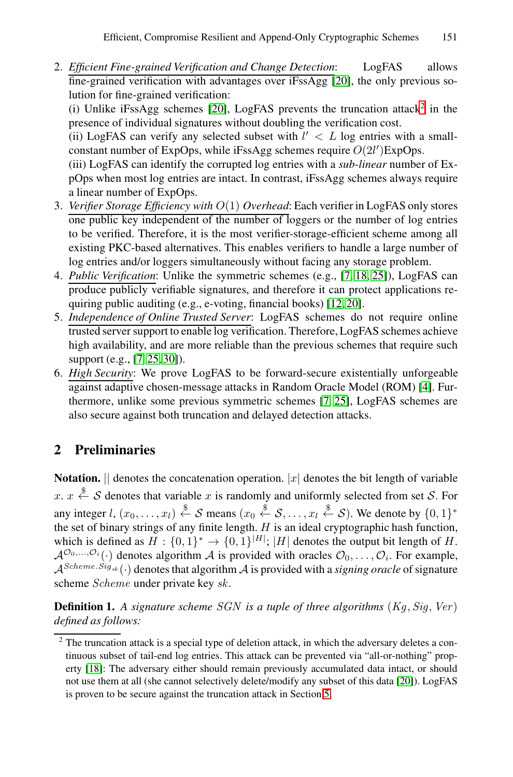- 2. *Efficient Fine-grained Verification and Change Detection*: LogFAS allows fine-grained verification with advantages over iFssAgg [20], the only previous solution for fine-grained verification: (i) Unlike iFssAgg schemes [20], LogFAS prevents the truncation attack<sup>2</sup> in the presence of individual signatures without doubling the verification cost. (ii) LogFAS can verify any selected subset with  $l' < L$  log entries with a smallconstant number of ExpOps, while iFssAgg schemes require  $O(2l')$ ExpOps. (iii) LogFAS can identify the corrupted [lo](#page-14-2)[g e](#page-14-8)[ntri](#page-14-10)es with a *sub-linear* number of ExpOps when most log entries are intact. In contrast, iFssAgg schemes always require a linear number of ExpOps.
- 3. *Verifier Storage Efficiency with* O(1) *[O](#page-14-7)[verh](#page-14-4)ead*: Each verifier in LogFAS only stores one public key independent of the number of loggers or the number of log entries to be verified. Therefore, it is the most verifier-storage-efficient scheme among all [exis](#page-15-2)ting PKC-based alternatives. This enables verifiers to handle a large number of log entries and/or loggers simultaneously without facing any storage problem.
- 4. *Public Verification*: Unlike the symmetric schemes (e.[g.,](#page-13-1) [7, 18, 25]), LogFAS can produce publicly verifiable signat[ure](#page-14-2)[s, a](#page-14-10)nd therefore it can protect applications requiring public auditing (e.g., e-voting, financial books) [12, 20].
- 5. *Independence of Online Trusted Server*: LogFAS schemes do not require online trusted server support to enable log verification. Therefore, LogFAS schemes achieve high availability, and are more reliable than the previous schemes that require such support (e.g., [7, 25, 30]).
- 6. *High Security*: We prove LogFAS to be forward-secure existentially unforgeable against adaptive chosen-message attacks in Random Oracle Model (ROM) [4]. Furthermore, unlike some previous symmetric schemes [7, 25], LogFAS schemes are also secure against both truncation and delayed detection attacks.

# **2 Preliminaries**

**Notation.**  $\parallel$  denotes the concatenation operation.  $\parallel x \parallel$  denotes the bit length of variable x.  $x \stackrel{\$}{\leftarrow} S$  denotes that variable x is randomly and uniformly selected from set S. For any integer  $l, (x_0, \ldots, x_l) \stackrel{\&}{\sim} \mathcal{S}$  means  $(x_0 \stackrel{\&}{\sim} \mathcal{S}, \ldots, x_l \stackrel{\&}{\sim} \mathcal{S})$ . We denote by  $\{0, 1\}^*$ the set of binary strings of any finite length.  $H$  is an ideal cryptographic hash function, which is defined as  $H : \{0,1\}^* \to \{0,1\}^{|H|}$ ; |H| denotes the output bit length of H.  $\mathcal{A}^{\mathcal{O}_0,\ldots,\mathcal{O}_i}(\cdot)$  denotes algorithm A is provided with oracles  $\mathcal{O}_0,\ldots,\mathcal{O}_i$ . For example,  $A^{Scheme. \dot{Sig}_{sk}(\cdot)}$  denotes that algorithm A is provided [with](#page-14-4) a *signing oracle* of signature scheme *Scheme* under private key *sk*.

**Definition 1.** *A signature scheme SGN is a tuple of three algorithms* (*Kg*, *Sig*, *Ver*) *defined as follows:*

<sup>&</sup>lt;sup>2</sup> The truncation attack is a special type of deletion attack, in which the adversary deletes a continuous subset of tail-end log entries. This attack can be prevented via "all-or-nothing" property [18]: The adversary either should remain previously accumulated data intact, or should not use them at all (she cannot selectively delete/modify any subset of this data [20]). LogFAS is proven to be secure against the truncation attack in Section 5.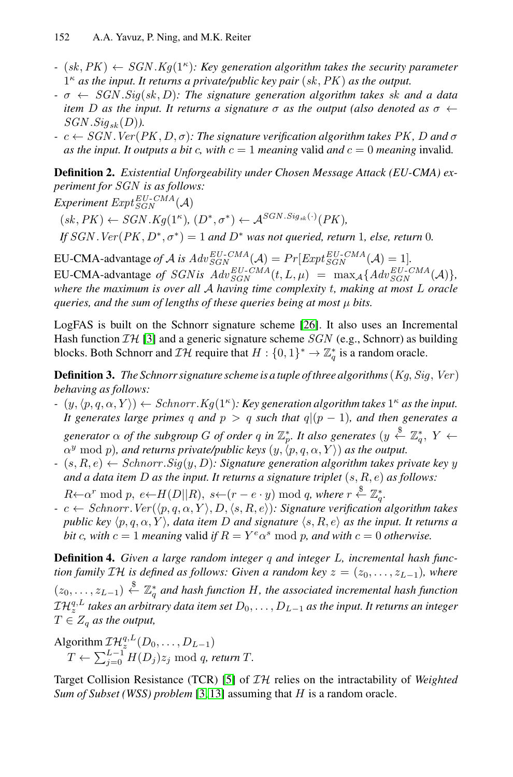- *-*  $(k, PK)$  ← *SGN*.*Kg*(1<sup> $k$ </sup>)*: Key generation algorithm takes the security parameter*  $1^{\kappa}$  *as the input. It returns a private/public key pair* (*sk, PK*) *as the output.*
- *-* σ ← *SGN* .*Sig*(*sk* , D)*: The signature generation algorithm takes sk and a data item* D *as the input. It returns a signature* σ *as the output (also denoted as* σ ← *SGN* .*Sigsk* (D)*).*
- *-* c ← *SGN* .*Ver*(*PK*, D, σ)*: The signature verification algorithm takes PK,* D *and* σ as the input. It outputs a bit c, with  $c = 1$  *meaning* valid and  $c = 0$  *meaning* invalid.

**Definition 2.** *Existential Unforgeability under Chosen Message Attack (EU-CMA) experiment for SGN is as follows:*

 $Experiment$   $Expt^{EU-CMA}_{SGN}(A)$ 

 $(sk, PK) \leftarrow SGN.Kg(1^{\kappa}), (D^*, \sigma^*) \leftarrow \mathcal{A}^{SGN.Sig_{sk}(\cdot)}(PK),$ 

*[I](#page-13-2)f*  $SGN$ .  $Ver(PK, D^*, \sigma^*) = 1$  *and*  $D^*$  *was not queried, return* 1*, else, return* 0*.* 

EU-CMA-advantage of A is  $Adv_{SGN}^{EU-CMA}(\mathcal{A}) = Pr[Expt_{SGN}^{EU-CMA}(\mathcal{A}) = 1].$ <br>EU-CMA-advantage of SGN is  $Adv_{SGN}^{EU-CMA}(t, L, \mu) = \max_{\mathcal{A}} \{Adv_{SGN}^{EU-CMA}(\mathcal{A})\},$ <br>where the maximum is over all A having time complexity t-making at most *where the maximum is over all* A *having time complexity* t*, making at most* L *oracle queries, and the sum of lengths of these queries being at most* μ *bits.*

<span id="page-4-0"></span>LogFAS is built on the Schnorr signature scheme [26]. It also uses an Incremental Hash function  $\mathcal{I}\mathcal{H}$  [3] and a generic signature scheme *SGN* (e.g., Schnorr) as building blocks. Both Schnorr and  $\mathcal{I}\mathcal{H}$  require that  $H: \{0,1\}^* \to \mathbb{Z}_q^*$  is a random oracle.

**Definition 3.** *The Schnorr signature scheme is a tuple of three algorithms*(*Kg*, *Sig*, *Ver*) *behaving as follows:*

- $(y, \langle p, q, \alpha, Y \rangle) \leftarrow Schnorr.Kq(1<sup>\kappa</sup>)$ *: Key generation algorithm takes*  $1<sup>\kappa</sup>$  *as the input. It generates large primes* q and  $p > q$  *such that*  $q|(p - 1)$ *, and then generates a* generator  $\alpha$  of the subgroup G of order q in  $\mathbb{Z}_p^*$ . It also generates  $(y \stackrel{\$}{\leftarrow} \mathbb{Z}_q^*$ ,  $Y \leftarrow$  $\alpha^y \mod p$ *), and returns private/public keys*  $(y, \langle p, q, \alpha, Y \rangle)$  *as the output.*
- *-* (s, R, e) ← *Schnorr* .*Sig*(y,D)*: Signature generation algorithm takes private key* y *and a data item* D *as the input. It returns a signature triplet* (s, R, e) *as follows:*

 $R \leftarrow \alpha^r \bmod p, \ e \leftarrow H(D||R), \ s \leftarrow (r - e \cdot y) \bmod q, \ where \ r \stackrel{\$}{\leftarrow} \mathbb{Z}_q^*.$ 

 $a \leftarrow Schnorr. Ver(\langle p, q, \alpha, Y \rangle, D, \langle s, R, e \rangle)$ : Signature verification algorithm takes *public key*  $\langle p, q, \alpha, Y \rangle$ , data item D and signature  $\langle s, R, e \rangle$  as the input. It returns a *bit* c, with  $c = 1$  *meaning* valid *if*  $R = Y^e \alpha^s \mod p$ , and with  $c = 0$  otherwise.

**Definition 4.** *Given a large random integer* q *and integer* L*, incremental hash function family*  $\mathcal{I}\mathcal{H}$  *i[s d](#page-13-3)efined as follows: Given a random key*  $z = (z_0, \ldots, z_{L-1})$ *, where*  $(z_0, \ldots, z_{L-1}) \stackrel{\$}{\leftarrow} \mathbb{Z}_q^*$  $(z_0, \ldots, z_{L-1}) \stackrel{\$}{\leftarrow} \mathbb{Z}_q^*$  $(z_0, \ldots, z_{L-1}) \stackrel{\$}{\leftarrow} \mathbb{Z}_q^*$  and hash function H, the associated incremental hash function  $\mathcal{I}\mathcal{H}^{q,L}_s$  takes an arbitrary data item set  $D_0,\ldots,D_{L-1}$  as the input. It returns an integer<br> $T\in Z$  as the sutput  $T \in Z_a$  *as the output,* 

Algorithm  $\mathcal{I}H_z^{q,L}(D_0,\ldots,D_{L-1})$ <br>  $T \leftarrow \sum_{j=0}^{L-1} H(D_j)z_j \text{ mod } q$ , return T.

Target Collision Resistance (TCR) [5] of IH relies on the intractability of *Weighted Sum of Subset (WSS) problem* [3, 13] assuming that *H* is a random oracle.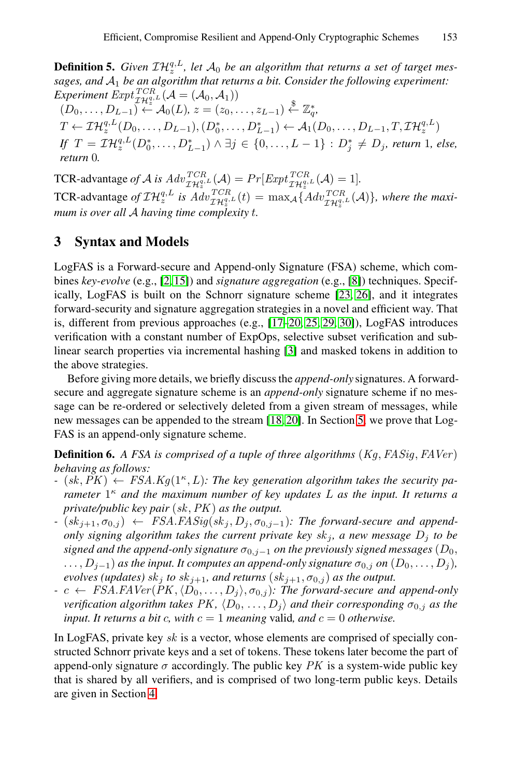**Definition 5.** *Given*  $\mathcal{I}H_1^{q,L}$ , let  $\mathcal{A}_0$  *be an algorithm that returns a set of target messages, and* <sup>A</sup>1 *be an algorithm that returns a bit. Consider the following experiment: Experiment*  $Expt_{\mathcal{I}\mathcal{H}_z^{q,L}}^{TCR}(\mathcal{A} = (\mathcal{A}_0, \mathcal{A}_1))$  $(D_0, \ldots, D_{L-1}) \stackrel{1}{\leftarrow} \mathcal{A}_0(L), z = (z_0, \ldots, z_{L-1}) \stackrel{\$}{\leftarrow} \mathbb{Z}_q^*,$  $T \leftarrow \mathcal{I} \mathcal{H}_{z}^{q,L}(D_0, \ldots, D_{L-1}), (D_0^*, \ldots, D_{L-1}^*) \leftarrow \mathcal{A}_1(D_0, \ldots, D_{L-1}, T, \mathcal{I} \mathcal{H}_{z}^{q,L})$ *If*  $T = \mathcal{I} \mathcal{H}_z^{q,L}(D_0^*, \ldots, D_{L-1}^*) \wedge \exists j \in \{0, \ldots, L-1\} : D_j^* \neq D_j$ , return 1, else, *return* 0*.*

TC[R-](#page-13-4)[adv](#page-14-13)antage of A is  $Adv_{\mathcal{I}\mathcal{H}_2^{q,L}}^{TCR}(\mathcal{A}) = Pr[Expt_{\mathcal{I}\mathcal{H}_2^{q,L}}^{TCR}(\mathcal{A}) = 1].$  $Adv_{\mathcal{I}\mathcal{H}_2^{q,L}}^{TCR}(\mathcal{A}) = Pr[Expt_{\mathcal{I}\mathcal{H}_2^{q,L}}^{TCR}(\mathcal{A}) = 1].$  $Adv_{\mathcal{I}\mathcal{H}_2^{q,L}}^{TCR}(\mathcal{A}) = Pr[Expt_{\mathcal{I}\mathcal{H}_2^{q,L}}^{TCR}(\mathcal{A}) = 1].$ TCR-advantage of  $\mathcal{I}\mathcal{H}_{z}^{q,L}$  $\mathcal{I}\mathcal{H}_{z}^{q,L}$  $\mathcal{I}\mathcal{H}_{z}^{q,L}$  is  $Adv_{\mathcal{I}\mathcal{H}_{z}^{q,L}}^{TCR}(t) = \max_{\mathcal{A}} \{Adv_{\mathcal{I}\mathcal{H}_{z}^{q,L}}^{TCR}(\mathcal{A})\}$  $Adv_{\mathcal{I}\mathcal{H}_{z}^{q,L}}^{TCR}(t) = \max_{\mathcal{A}} \{Adv_{\mathcal{I}\mathcal{H}_{z}^{q,L}}^{TCR}(\mathcal{A})\}$  $Adv_{\mathcal{I}\mathcal{H}_{z}^{q,L}}^{TCR}(t) = \max_{\mathcal{A}} \{Adv_{\mathcal{I}\mathcal{H}_{z}^{q,L}}^{TCR}(\mathcal{A})\}$  $Adv_{\mathcal{I}\mathcal{H}_{z}^{q,L}}^{TCR}(t) = \max_{\mathcal{A}} \{Adv_{\mathcal{I}\mathcal{H}_{z}^{q,L}}^{TCR}(\mathcal{A})\}$  $Adv_{\mathcal{I}\mathcal{H}_{z}^{q,L}}^{TCR}(t) = \max_{\mathcal{A}} \{Adv_{\mathcal{I}\mathcal{H}_{z}^{q,L}}^{TCR}(\mathcal{A})\}$ , where the maxi*mum is over all* A *having t[ime](#page-14-3) [co](#page-14-4)[mpl](#page-14-10)[exity](#page-15-1)* t*[.](#page-15-2)*

## **3 Syntax and Models**

LogFAS is a Forward-secure and Append-only Signature (FSA) scheme, which combines *key-evolve* (e.g., [2, 15]) and *signature aggregation* (e.g., [8]) techniques. Specifically, LogFAS is built on the Schnorr signature scheme [23, 26], and it integrates forward-security and sign[atur](#page-14-8)[e ag](#page-14-4)gregation st[ra](#page-10-0)tegies in a novel and efficient way. That is, different from previous approaches (e.g., [17–20, 25, 29, 30]), LogFAS introduces verification with a constant number of ExpOps, selective subset verification and sublinear search properties via incremental hashing [3] and masked tokens in addition to the above strategies.

Before giving more details, we briefly discuss the *append-only* signatures. A forwardsecure and aggregate signature scheme is an *append-only* signature scheme if no message can be re-ordered or selectively deleted from a given stream of messages, while new messages can be appended to the stream [18, 20]. In Section 5, we prove that Log-FAS is an append-only signature scheme.

**Definition 6.** *A FSA is comprised of a tuple of three algorithms* (*Kg*, *FASig*, *FAVer*) *behaving as follows:*

- *-*  $(\mathit{sk}, \mathit{PK})$  ←  $\mathit{FSA.Kg}(1\kappa, L)$ : The key generation algorithm takes the security pa*rameter* 1<sup>κ</sup> *and the maximum number of key updates* L *as the input. It returns a private/public key pair* (*sk*,*PK*) *as the output.*
- $(sk_{j+1}, \sigma_{0,j})$  ← *FSA.FASig* $(sk_j, D_j, \sigma_{0,j-1})$ *: The forward-secure and appendonly signing algorithm takes the current private key*  $sk_j$ *, a new message*  $D_j$  to be *signed and the append-only signature*  $\sigma_{0,j-1}$  *on the previously signed messages* ( $D_0$ ,  $\dots, D_{i-1}$ ) *as the input. It computes an append-only signature*  $\sigma_{0,i}$  *on*  $(D_0, \dots, D_i)$ *, evolves (updates)*  $sk_j$  *to*  $sk_{j+1}$ *, and returns*  $(sk_{j+1}, \sigma_{0,j})$  *as the output.*
- $\mathcal{L} \leftarrow \text{FSA.FAVer}(\mathcal{P}K, \langle \mathcal{D}_0, \ldots, \mathcal{D}_j \rangle, \sigma_{0,j})$  $\mathcal{L} \leftarrow \text{FSA.FAVer}(\mathcal{P}K, \langle \mathcal{D}_0, \ldots, \mathcal{D}_j \rangle, \sigma_{0,j})$  $\mathcal{L} \leftarrow \text{FSA.FAVer}(\mathcal{P}K, \langle \mathcal{D}_0, \ldots, \mathcal{D}_j \rangle, \sigma_{0,j})$ *: The forward-secure and append-only verification algorithm takes PK*,  $\langle D_0, \ldots, D_j \rangle$  *and their corresponding*  $\sigma_{0,j}$  *as the input. It returns a bit c, with*  $c = 1$  *meaning* valid, and  $c = 0$  *otherwise.*

In LogFAS, private key *sk* is a vector, whose elements are comprised of specially constructed Schnorr private keys and a set of tokens. These tokens later become the part of append-only signature  $\sigma$  accordingly. The public key *PK* is a system-wide public key that is shared by all verifiers, and is comprised of two long-term public keys. Details are given in Section 4.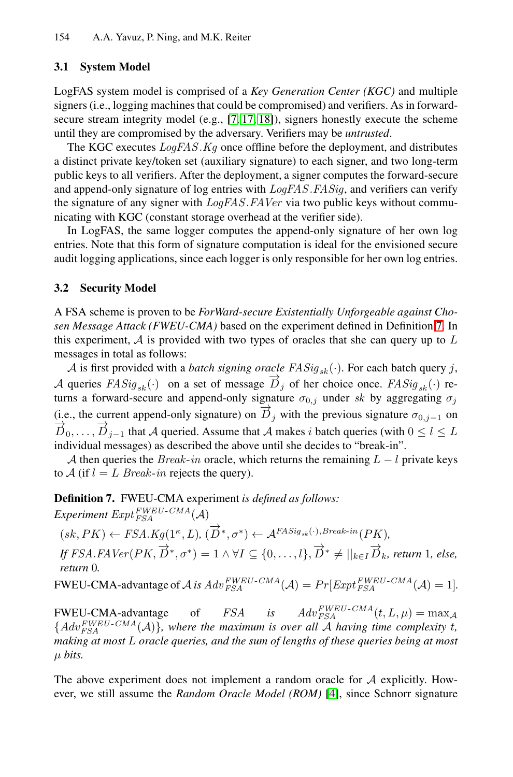#### **3.1 System Model**

LogFAS system model is comprised of a *Key Generation Center (KGC)* and multiple signers (i.e., logging machines that could be compromised) and verifiers. As in forwardsecure stream integrity model (e.g., [7, 17, 18]), signers honestly execute the scheme until they are compromised by the adversary. Verifiers may be *untrusted*.

The KGC executes *LogFAS*.*Kg* once offline before the deployment, and distributes a distinct private key/token set (auxiliary signature) to each signer, and two long-term public keys to all verifiers. After the deployment, a signer computes the forward-secure and append-only signature of log entries with *LogFAS*.*FASig*, and verifiers can verify the signature of any signer with *LogFAS*.*FAVer* via two public keys without communicating with KGC (constant storage overhead at the verifier s[ide](#page-6-0)).

In LogFAS, the same logger computes the append-only signature of her own log entries. Note that this form of signature computation is ideal for the envisioned secure audit logging applications, since each logger is only responsible for her own log entries.

#### <span id="page-6-0"></span>**3.2 Security Model**

A FSA scheme is proven to be *ForWard-secure Existentially Unforgeable against Chosen Message Attack (FWEU-CMA)* based on the experiment defined in Definition 7. In this experiment,  $A$  is provided with two types of oracles that she can query up to  $L$ messages in total as follows:

A is first provided with a *batch signing oracle*  $FASig_{sk}(\cdot)$ . For each batch query j, A queries  $FASig_{sk}(\cdot)$  on a set of message  $\overrightarrow{D}_j$  of her choice once.  $FASig_{sk}(\cdot)$  returns a forward-secure and append-only signature  $\sigma_{0,j}$  under *sk* by aggregating  $\sigma_j$ (i.e., the current append-only signature) on  $\overrightarrow{D}_i$  with the previous signature  $\sigma_{0,i-1}$  on  $\overrightarrow{D}_0,\ldots,\overrightarrow{D}_{j-1}$  that A queried. Assume that A makes i batch queries (with  $0 \leq l \leq L$ individual messages) as described the above until she decides to "break-in".

A then queries the *Break-in* oracle, which returns the remaining  $L - l$  private keys to  $A$  (if  $l = L$  *Break-in* rejects the query).

**Definition 7.** FWEU-CMA experiment *is defined as follows:*  $Experiment$   $Expt_{FSA}^{FWEU-CMA}(\mathcal{A})$ 

 $(\textit{sk}, \textit{PK}) \leftarrow \textit{FSA.Kg}(1\text{K}, L), (\overrightarrow{D}^*, \sigma^*) \leftarrow \mathcal{A}^{\textit{FASig}_{sk}(\cdot), \textit{Break-in}}(\textit{PK}),$ 

 $\mathit{If FSA.FAVer}(PK, \overrightarrow{D}^*, \sigma^*) = 1 \land \forall I \subseteq \{0, \ldots, l\}, \overrightarrow{D}^* \neq ||_{k \in I} \overrightarrow{D}_k$ , return 1*, else*, *return* 0*.*

F[WE](#page-13-1)U-CMA-advantage of A is  $Adv_{FSA}^{FWEU-CMA}(\mathcal{A}) = Pr[Expt_{FSA}^{FWEU-CMA}(\mathcal{A}) = 1].$ 

FWEU-CMA-advantage of *FSA is*  $Adv_{FSA}^{FWEU-CMA}(t, L, \mu) = \max_{A}$ <br>*I Adv<sup>FWEU-CMA*(A)) where the maximum is over all A having time complexity t</sup>  ${Adv_{FSA}^{FWEU-CMA}(A)}$ , where the maximum is over all A *having time complexity t*, making at most L oracle queries, and the sum of lengths of these queries heing at most *making at most* L *oracle queries, and the sum of lengths of these queries being at most* μ *bits.*

The above experiment does not implement a random oracle for A explicitly. However, we still assume the *Random Oracle Model (ROM)* [4], since Schnorr signature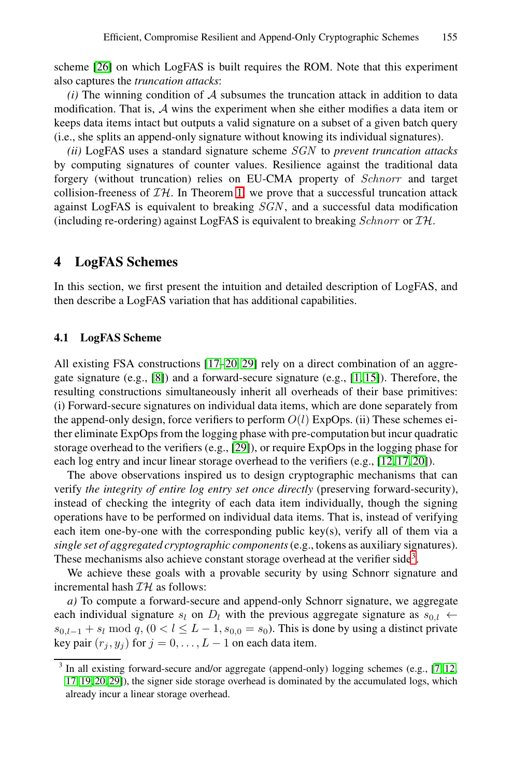<span id="page-7-0"></span>scheme [26] on which LogFAS is built requires the ROM. Note that this experiment also captures the *tr[un](#page-10-1)cation attacks*:

 $(i)$  The winning condition of  $A$  subsumes the truncation attack in addition to data modification. That is,  $\mathcal A$  wins the experiment when she either modifies a data item or keeps data items intact but outputs a valid signature on a subset of a given batch query (i.e., she splits an append-only signature without knowing its individual signatures).

*(ii)* LogFAS uses a standard signature scheme *SGN* to *prevent truncation attacks* by computing signatures of counter values. Resilience against the traditional data forgery (without truncation) relies on EU-CMA property of *Schnorr* and target collision-freeness of  $\mathcal{I}\mathcal{H}$ . In Theorem 1, we prove that a successful truncation attack against LogFAS is equivalent to breaking *SGN* , and a successful data modification (including re-ordering) against LogFAS is equivalent to breaking *Schnorr* or IH.

## **4 LogF[AS](#page-14-3) [S](#page-14-3)[ch](#page-14-4)[em](#page-15-1)es**

In this section, we first present the intuition and detailed description of LogFAS, and then describe a LogFAS variation that has additional capabilities.

#### **4.1 LogFAS Sch[eme](#page-15-1)**

All existing FSA constructions [17–20, 29] rely [on](#page-14-7) [a](#page-14-7) [dir](#page-14-3)[ect](#page-14-4) combination of an aggregate signature (e.g., [8]) and a forward-secure signature (e.g., [1, 15]). Therefore, the resulting constructions simultaneously inherit all overheads of their base primitives: (i) Forward-secure signatures on individual data items, which are done separately from the append-only design, force verifiers to perform  $O(l)$  ExpOps. (ii) These schemes either eliminate ExpOps from the logging phase with pre-computation but incur quadratic storage overhead to the verifiers (e.g., [29]), or require E[xp](#page-7-1)Ops in the logging phase for each log entry and incur linear storage overhead to the verifiers (e.g., [12, 17, 20]).

<span id="page-7-1"></span>The above observations inspired us to design cryptographic mechanisms that can verify *the integrity of entire log entry set once directly* (preserving forward-security), instead of checking the integrity of each data item individually, though the signing operations have to be performed on individual data items. That is, instead of verifying each item one-by-one with the corresponding public key(s), verify all of them via a *single set of aggregated cryptographic components*(e.g., tokens as auxiliary signatures). T[he](#page-14-2)se mechanisms also achieve constant storage overhead at the [ve](#page-14-7)rifier side<sup>3</sup>.

We achieve these goals with a provable security by using Schnorr signature and incremental hash  $\mathcal{I}H$  as follows:

*a)* To compute a forward-secure and append-only Schnorr signature, we aggregate each individual signature  $s_l$  on  $D_l$  with the previous aggregate signature as  $s_{0,l} \leftarrow$  $s_{0,l-1} + s_l \mod q$ ,  $(0 < l \le L - 1, s_{0,0} = s_0)$ . This is done by using a distinct private key pair  $(r_j, y_j)$  for  $j = 0, \ldots, L - 1$  on each data item.

 $3$  In all existing forward-secure and/or aggregate (append-only) logging schemes (e.g., [7, 12, 17, 19, 20, 29]), the signer side storage overhead is dominated by the accumulated logs, which already incur a linear storage overhead.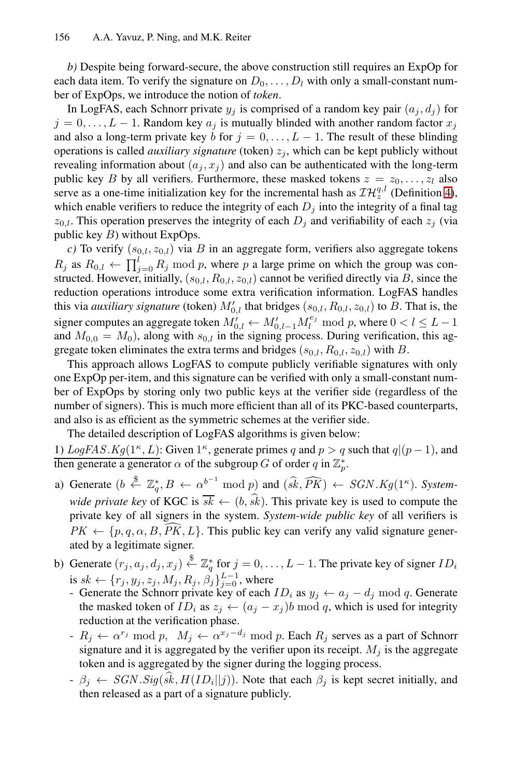#### 156 A.A. Yavuz, P. Ning, and M.K. Reiter

*b)* Despite being forward-secure, the above construction still requires an ExpOp for each data item. To verify the signature on  $D_0, \ldots, D_l$  with only [a](#page-4-0) small-constant number of ExpOps, we introduce the notion of *token*.

In LogFAS, each Schnorr private  $y_i$  is comprised of a random key pair  $(a_i, d_i)$  for  $j = 0, \ldots, L - 1$ . Random key  $a_j$  is mutually blinded with another random factor  $x_j$ and also a long-term private key b for  $j = 0, \ldots, L - 1$ . The result of these blinding operations is called *auxiliary signature* (token)  $z_i$ , which can be kept publicly without revealing information about  $(a_i, x_j)$  and also can be authenticated with the long-term public key B by all verifiers. Furthermore, these masked tokens  $z = z_0, \ldots, z_l$  also serve as a one-time initialization key for the incremental hash as  $\mathcal{I}H_z^{q,l}$  (Definition 4), which enable verifiers to reduce the integrity of each  $D_i$  into the integrity of a final tag  $z_{0,l}$ . This operation preserves the integrity of each  $D_j$  and verifiability of each  $z_j$  (via public key  $B$ ) without ExpOps.

*c*) To verify  $(s_{0,l}, z_{0,l})$  via B in an aggregate form, verifiers also aggregate tokens  $R_j$  as  $R_{0,l} \leftarrow \prod_{j=0}^{l} R_j \mod p$ , where p a large prime on which the group was con-<br>structed However initially  $(s_0, R_0, z_0)$  cannot be verified directly via B, since the structed. However, initially,  $(s_{0,l}, R_{0,l}, z_{0,l})$  cannot be verified directly via B, since the reduction operations introduce some extra verification information. LogFAS handles this via *auxiliary signature* (token)  $M'_{0,l}$  that bridges ( $s_{0,l}, R_{0,l}, z_{0,l}$ ) to B. That is, the signer computes an aggregate token  $M'_{0,l} \leftarrow M'_{0,l}$ <br>and  $M_{0,\theta} = M_{0,l}$  along with  $\varepsilon_0$ , in the signing  $\sum_{0,l=1}^{l} M_l^{e_j} \mod p$ , where  $0 < l \leq L-1$ <br>log process. During verification, this age and  $M_{0,0} = M_0$ ), along with  $s_{0,l}$  in the signing process. During verification, this aggregate token eliminates the extra terms and bridges ( $s_{0,l}, R_{0,l}, z_{0,l}$ ) with B.

This approach allows LogFAS to compute publicly verifiable signatures with only one ExpOp per-item, and this signature can be verified with only a small-constant number of ExpOps by storing only two public keys at the verifier side (regardless of the number of signers). This is much more efficient than all of its PKC-based counterparts, and also is as efficient as the symmetric schemes at the verifier side.

The detailed description of LogFAS algorithms is given below:

1) *LogFAS*.*Kg*( $1^{\kappa}$ , *L*): Given  $1^{\kappa}$ , generate primes q and  $p > q$  such that  $q|(p-1)$ , and then generate a generator  $\alpha$  of the subgroup G of order q in  $\mathbb{Z}_p^*$ .

- a) Generate  $(b \stackrel{\$}{\leftarrow} \mathbb{Z}_q^*, B \leftarrow \alpha^{b^{-1}} \mod p)$  and  $(\widehat{sk}, \widehat{PK}) \leftarrow SGN.Kg(1^{\kappa})$ . *Systemwide private key* of KGC is  $\overline{sk} \leftarrow (b, \hat{sk})$ . This private key is used to compute the private key of all signers in the system. *System-wide public key* of all verifiers is  $PK \leftarrow \{p, q, \alpha, B, PK, L\}$ . This public key can verify any valid signature generated by a legitimate signer.
- b) Generate  $(r_j, a_j, d_j, x_j) \stackrel{\$}{\leftarrow} \mathbb{Z}_q^*$  for  $j = 0, \ldots, L-1$ . The private key of signer  $ID_i$ is  $sk$  ←  $\{r_j, y_j, z_j, M_j, R_j, \beta_j\}_{j=0}^{L-1}$ , where<br>- Generate the Schnorr private key of each  $ID_i$  as  $y_j$  ←  $a_j$  –  $d_j$  mod q. Generate
	- the masked token of  $ID_i$  as  $z_j \leftarrow (a_j x_j)b \mod q$ , which is used for integrity reduction at the verification phase.
	- $R_j \leftarrow \alpha^{r_j} \mod p$ ,  $M_j \leftarrow \alpha^{x_j d_j} \mod p$ . Each  $R_j$  serves as a part of Schnorr signature and it is aggregated by the verifier upon its receipt.  $M_j$  is the aggregate token and is aggregated by the signer during the logging process.
	- $\beta_i \leftarrow \text{SGN} \cdot \text{Sig}(\widehat{sk}, H(ID_i||j))$ . Note that each  $\beta_i$  is kept secret initially, and then released as a part of a signature publicly.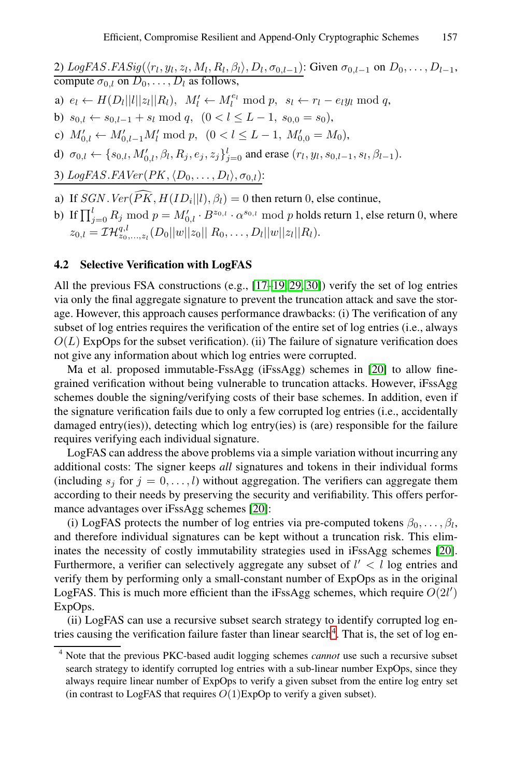2)  $LogFAS.FASig(\langle r_l, y_l, z_l, M_l, R_l, \beta_l \rangle, D_l, \sigma_{0,l-1})$ : Given  $\sigma_{0,l-1}$  on  $D_0, \ldots, D_{l-1}$ , compute  $\sigma_{0,l}$  on  $D_0, \ldots, D_l$  as follows,

a)  $e_l \leftarrow H(D_l||l||z_l||R_l)$ ,  $M'_l \leftarrow M_l^{e_l} \mod p$ ,  $s_l \leftarrow r_l - e_l y_l \mod q$ ,

b)  $s_{0,l} \leftarrow s_{0,l-1} + s_l \mod q, \ (0 < l \leq L-1, s_{0,0} = s_0),$ 

c)  $M'_{0,l} \leftarrow M'_{0,l-1} M'_{l} \text{ mod } p, \quad (0 < l \leq L-1, M'_{0,0} = M_0),$ 

- d)  $\sigma_{0,l} \leftarrow \{s_{0,l}, M'_{0,l}, \beta_l, R_j, e_j, z_j\}_{j=0}^l$  and erase  $(r_l, y_l, s_{0,l-1}, s_l, \beta_{l-1})$ .
- 3)  $LogFAS.FAVer(PK, \langle D_0, \ldots, D_l \rangle, \sigma_{0,l})$  $LogFAS.FAVer(PK, \langle D_0, \ldots, D_l \rangle, \sigma_{0,l})$  $LogFAS.FAVer(PK, \langle D_0, \ldots, D_l \rangle, \sigma_{0,l})$ :
- a) If  $SGN$ .  $Ver(\widehat{PK}, H(ID_i||l), \beta_l) = 0$  then return 0, else continue,
- b) If  $\prod_{j=0}^{l} R_j \text{ mod } p = M'_{0,l} \cdot B^{z_{0,l}} \cdot \alpha^{s_{0,l}} \text{ mod } p$  holds return 1, else return 0, where  $z_{0,l} = \mathcal{I} \mathcal{H}_{z_0,...,z_l}^{q,l}(D_0||w||z_0|| R_0,...,D_l||w||z_l||R_l).$

#### **4.2 Selective Verification with LogFAS**

All the previous FSA constructions (e.g., [17–19, 29, 30]) verify the set of log entries via only the final aggregate signature to prevent the truncation attack and save the storage. However, this approach causes performance drawbacks: (i) The verification of any subset of log entries requires the verification of the entire set of log entries (i.e., always  $O(L)$  ExpOps for the subset verification). (ii) The failure of signature verification does not give any information about which log entries were corrupted.

Ma et al. proposed immutable-FssAgg (iFssAgg) schemes in [20] to allow finegrained verification without being vulnerable to truncation attacks. However, iFssAgg schemes double the si[gnin](#page-14-4)g/verifying costs of their base schemes. In addition, even if the signature verification fails due to only a few corrupted log entries (i.e., accidentally damaged entry(ies)), detecting which log entry(ies) is (are) responsible for the failure requires verifying each individual signature.

<span id="page-9-0"></span>LogFAS can address the above problems via a simple variati[on](#page-14-4) [w](#page-14-4)ithout incurring any additional costs: The signer keeps *all* signatures and tokens in their individual forms (including  $s_i$  for  $j = 0, \ldots, l$ ) without aggregation. The verifiers can aggregate them according to their needs by preserving the security and verifiability. This offers performance advantages over iFssAgg schemes [20]:

(i) L[og](#page-9-0)FAS protects the number of log entries via pre-computed tokens  $\beta_0, \ldots, \beta_l$ , and therefore individual signatures can be kept without a truncation risk. This eliminates the necessity of costly immutability strategies used in iFssAgg schemes [20]. Furthermore, a verifier can selectively aggregate any subset of  $l' < l$  log entries and verify them by performing only a small-constant number of ExpOps as in the original LogFAS. This is much more efficient than the iFssAgg schemes, which require  $O(2l')$ ExpOps.

(ii) LogFAS can use a recursive subset search strategy to identify corrupted log entries causing the verification failure faster than linear search<sup>4</sup>. That is, the set of log en-

<sup>4</sup> Note that the previous PKC-based audit logging schemes *cannot* use such a recursive subset search strategy to identify corrupted log entries with a sub-linear number ExpOps, since they always require linear number of ExpOps to verify a given subset from the entire log entry set (in contrast to LogFAS that requires  $O(1)$ ExpOp to verify a given subset).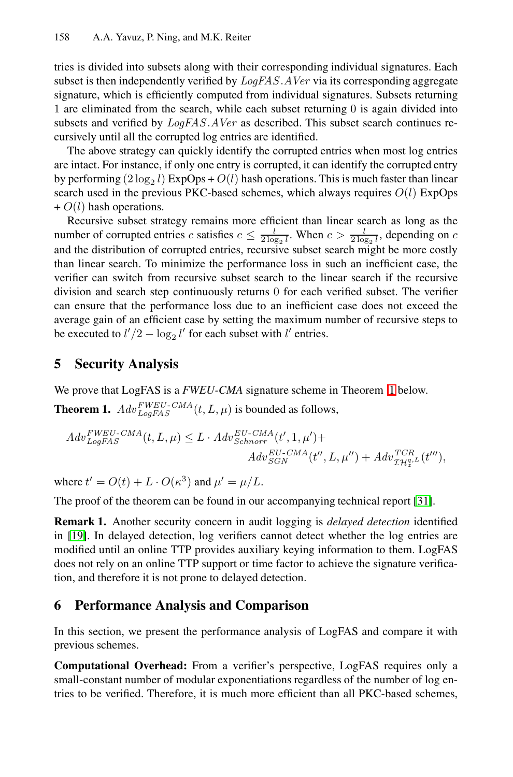#### 158 A.A. Yavuz, P. Ning, and M.K. Reiter

tries is divided into subsets along with their corresponding individual signatures. Each subset is then independently verified by *LogFAS*.*AVer* via its corresponding aggregate signature, which is efficiently computed from individual signatures. Subsets returning 1 are eliminated from the search, while each subset returning 0 is again divided into subsets and verified by *LogFAS*.*AVer* as described. This subset search continues recursively until all the corrupted log entries are identified.

<span id="page-10-1"></span><span id="page-10-0"></span>The above strategy can quickly identify the corrupted entries when most log entries are intact. For instance, if only one entry is corrupted, it can identify the corrupted entry by performing  $(2 \log_2 l)$  ExpOps +  $O(l)$  hash operations. This is much faster than linear<br>search used in the previous PKC based schemes, which always requires  $O(l)$  ExpOps search used in the previous PKC-based schemes, which always requires  $O(l)$  ExpOps  $+ O(l)$  hash operations.

Recursive subset strategy remains more efficient than linear search as long as the number of corrupted entries c satisfies  $c \leq \frac{l}{2 \log_2 l}$ . When  $c > \frac{l}{2 \log_2 l}$ , depending on c and the distribution of corrupted entries, recursive subset search might be more costly than linear search. To minimize the performance loss in such an inefficient case, the verifier can switch from recursive subset search t[o t](#page-10-1)he linear search if the recursive division and search step continuously returns 0 for each verified subset. The verifier can ensure that the performance loss due to an inefficient case does not exceed the average gain of an efficient case by setting the maximum number of recursive steps to be executed to  $l'/2 - \log_2 l'$  for each subset with  $l'$  entries.

## **5 Security Analysis**

<span id="page-10-2"></span>We prove that LogFAS is a *FWEU-CMA* signature schem[e in](#page-15-3) Theorem 1 below. **Theorem 1.**  $Adv_{LogFAS}^{FWEU-CMA}(t, L, \mu)$  is bounded as follows,

$$
Adv_{LogFAS}^{FWEU-CMA}(t, L, \mu) \le L \cdot Adv_{Schnorm}^{EU-CMA}(t', 1, \mu') +
$$
  

$$
Adv_{SGN}^{EU-CMA}(t'', L, \mu'') + Adv_{TH_2^{q,L}}^{TCR}(t'''),
$$

where  $t' = O(t) + L \cdot O(\kappa^3)$  and  $\mu' = \mu/L$ .

The proof of the theorem can be found in our accompanying technical report [31].

**Remark 1.** Another security concern in audit logging is *delayed detection* identified in [19]. In delayed detection, log verifiers cannot detect whether the log entries are modified until an online TTP provides auxiliary keying information to them. LogFAS does not rely on an online TTP support or time factor to achieve the signature verification, and therefore it is not prone to delayed detection.

### **6 Performance Analysis and Comparison**

In this section, we present the performance analysis of LogFAS and compare it with previous schemes.

**Computational Overhead:** From a verifier's perspective, LogFAS requires only a small-constant number of modular exponentiations regardless of the number of log entries to be verified. Therefore, it is much more efficient than all PKC-based schemes,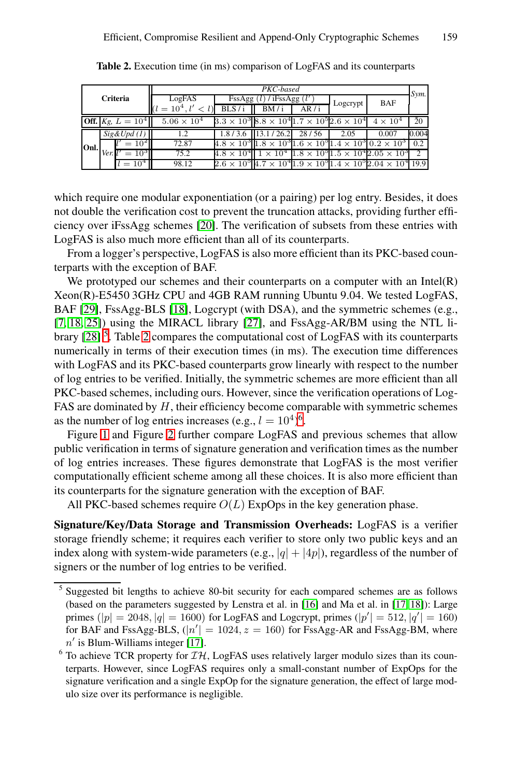|      |                            | PKC-based            |              |                                                                         |                                |                 |                                      |                 |  |  |  |
|------|----------------------------|----------------------|--------------|-------------------------------------------------------------------------|--------------------------------|-----------------|--------------------------------------|-----------------|--|--|--|
|      | <b>Criteria</b>            | LogFAS               | FssAgg       | iFssAgg /                                                               |                                | Logcrypt        | <b>BAF</b>                           | Sym.            |  |  |  |
|      |                            | $10^4$               | BLS/i        | BM/i                                                                    | AR/1                           |                 |                                      |                 |  |  |  |
|      | <b>Off.</b> $Kg, L = 10^4$ | $5.06 \times 10^{4}$ |              | $3.3 \times 10^3$ 8.8 $\times 10^4$ 1.7 $\times 10^5$ 2.6 $\times 10^4$ |                                |                 | $4 \times 10^4$                      | $\overline{2}0$ |  |  |  |
|      | $Sig\&Upd(1)$              | 1.2                  | 1.8 / 3.6    | 26.                                                                     | 28/56                          | 2.05            | 0.007                                | 0.004           |  |  |  |
| Onl. | 10 <sup>4</sup>            | 72.87                | 4.8          |                                                                         | $10^{3}1.6$<br>$\times 10^{5}$ | $\times 10^{5}$ | $0.2 \times 10^3$                    | 0.2             |  |  |  |
|      | Ver.<br>$= 10^{3}$         | 75.2                 | 4.8          |                                                                         | 8                              | $1.5\,$         | $\times 10^{4}$ 2.05 $\times 10^{3}$ | $\overline{c}$  |  |  |  |
|      | 10                         | 98.12                | $2.6 \times$ |                                                                         |                                | $\times$        | $10^{\circ}2.04 \times$              | 19.9            |  |  |  |
|      |                            |                      |              |                                                                         |                                |                 |                                      |                 |  |  |  |

<span id="page-11-0"></span>**Table 2.** Execution time (in ms) comparison of LogFAS and its counterparts

whic[h re](#page-14-8)quire one modular exponentiation (or a pairing) per log entry. Besides, it does not double the verific[atio](#page-15-4)n cost to prevent the truncation attacks, providing further effi[c](#page-11-0)iency over iFssAgg schemes [20]. The verification of subsets from these entries with LogFAS is also much more efficient than all of its counterparts.

From a logger's perspective, LogFAS is also more efficient than its PKC-based counterparts with the exception of BAF.

We prototyped our schemes and their counterparts on a computer with an  $Intel(R)$ Xeon(R)-E5450 3GHz CPU and 4GB RAM running Ubuntu 9.04. We tested LogFAS, BAF [29], FssAgg-BLS [18], L[og](#page-11-1)crypt (with DSA), and the symmetric schemes (e.g., [7, 1[8,](#page-12-0) 25]) using the MIRACL library [27], and FssAgg-AR/BM using the NTL library [28] 5. Table 2 compares the computational cost of LogFAS with its counterparts numerically in terms of their execution times (in ms). The execution time differences with LogFAS and its PKC-based counterparts grow linearly with respect to the number of log entries to be verified. Initially, the symmetric schemes are more efficient than all PKC-based schemes, including ours. However, since the verification operations of Log-FAS are dominated by  $H$ , their efficiency become comparable with symmetric schemes as the number of log entries increases (e.g.,  $l = 10^4$ )<sup>6</sup>.

<span id="page-11-1"></span>Figure 1 and Figure 2 further compare LogFAS and previous schemes that allow public verification in terms of signature generation and verification times as the number of log entries increases. These figures demonstrate that LogFAS is the most verifier computationally efficient scheme among all these choices. It is also more efficient than its counterparts for the signature [gene](#page-14-16)ration with the [exc](#page-14-3)[ept](#page-14-8)ion of BAF.

All PKC-based schemes require  $O(L)$  ExpOps in the key generation phase.

**Signature/Key/Data Storage and Transmission Overheads:** LogFAS is a verifier storage f[rien](#page-14-3)dly scheme; it requires each verifier to store only two public keys and an index along with system-wide parameters (e.g.,  $|q| + |4p|$ ), regardless of the number of signers or the number of log entries to be verified.

<sup>5</sup> Suggested bit lengths to achieve 80-bit security for each compared schemes are as follows (based on the parameters suggested by Lenstra et al. in [16] and Ma et al. in [17, 18]): Large primes ( $|p| = 2048$ ,  $|q| = 1600$ ) for LogFAS and Logcrypt, primes ( $|p'| = 512$ ,  $|q'| = 160$ ) for BAF and FssAgg-BLS,  $(|n'| = 1024, z = 160)$  for FssAgg-AR and FssAgg-BM, where  $n'$  is Blum-Williams integer [17].

 $6$  To achieve TCR property for  $TH$ , LogFAS uses relatively larger modulo sizes than its counterparts. However, since LogFAS requires only a small-constant number of ExpOps for the signature verification and a single ExpOp for the signature generation, the effect of large modulo size over its performance is negligible.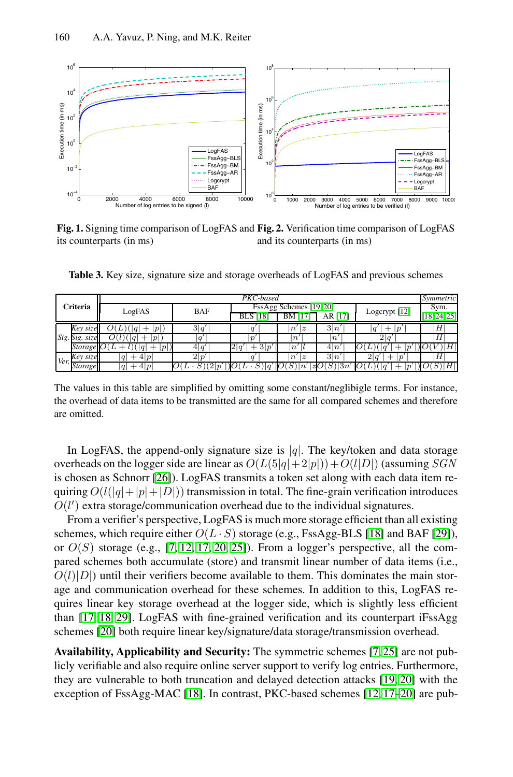<span id="page-12-0"></span>

**Fig. 1.** Signing time comparison of LogFAS and **Fig. 2.** Verification time comparison of LogFAS its counterparts (in ms) and its counterparts (in ms)

|  |  |  | <b>Table 3.</b> Key size, signature size and storage overheads of LogFAS and previous schemes |  |  |  |
|--|--|--|-----------------------------------------------------------------------------------------------|--|--|--|
|  |  |  |                                                                                               |  |  |  |
|  |  |  |                                                                                               |  |  |  |

|                     | PKC-based        |            |                  |                                      |                  |                          |         |  |  |  |  |
|---------------------|------------------|------------|------------------|--------------------------------------|------------------|--------------------------|---------|--|--|--|--|
| Criteria            | LogFAS           | <b>BAF</b> |                  | FssAgg Schemes [19, 20]              |                  | Svm.                     |         |  |  |  |  |
|                     |                  |            | <b>BLS</b> [18]  | BМ                                   | AR [17]          | Logcrypt [12]            | 24, 25] |  |  |  |  |
| Key size            | $\boldsymbol{v}$ | 3 a        |                  | $\boldsymbol{n}$<br>$\boldsymbol{z}$ | 3 n'             | η                        | Η       |  |  |  |  |
| Sig. Sig.<br>. sıze | $\boldsymbol{p}$ | q          | $\boldsymbol{v}$ | $\lfloor n \rfloor$                  | $\boldsymbol{n}$ |                          | H       |  |  |  |  |
| Storage             | $\boldsymbol{p}$ |            |                  | n                                    | 4 n'             |                          | Η       |  |  |  |  |
| Key size<br>Ver.    | 4 p              | 2 p        |                  | $\boldsymbol{n}$<br>$\boldsymbol{z}$ | 3 n'             | $\boldsymbol{\eta}$<br>— | Н       |  |  |  |  |
| Storage             | 4 p              |            |                  |                                      | зп               |                          |         |  |  |  |  |
|                     |                  |            |                  |                                      |                  |                          |         |  |  |  |  |

The values in this table are simplified by omitting some constant/neglibigle terms. For instance, the overhead of data items to be transmitted are the same for all compared schemes and therefore are omitted.

In [L](#page-14-2)[ogF](#page-14-7)[AS](#page-14-3)[,](#page-14-4) [th](#page-14-4)[e](#page-14-10) [ap](#page-14-10)pend-only signature size is  $|q|$ . The key/token and data storage overheads on the logger side are linear as  $O(L(5|q|+2|p|))+O(l|D|)$  (assuming *SGN* is chosen as Schnorr [26]). LogFAS transmits a token set along with each data item requiring  $O(l(|q|+|p|+|D|))$  transmission in total. The fine-grain verification introduces  $O(l')$  extra storage/communication overhead due to the individual signatures.

From a verifier's perspective, LogFAS is much more storage efficient than all existing schemes, which require either  $O(L \cdot S)$  storage (e.g., FssAgg-BLS [18] and BAF [29]), or  $O(S)$  storage (e.g., [7, 12, 17, 20, 25]). Fro[m](#page-14-2) [a lo](#page-14-10)gger's perspective, all the compared schemes both accumulate (store) and transmit linear number of data items (i.e.,  $O(l)|D|$ ) until their verifiers become available to [them](#page-14-0)[. T](#page-14-4)his dominates the main storage and [com](#page-14-8)munication overhead for these sc[hem](#page-14-7)[es.](#page-14-3) [In](#page-14-4) addition to this, LogFAS requires linear key storage overhead at the logger side, which is slightly less efficient than [17, 18, 29]. LogFAS with fine-grained verification and its counterpart iFssAgg schemes [20] both require linear key/signature/data storage/transmission overhead.

**Availability, Applicability and Security:** The symmetric schemes [7, 25] are not publicly verifiable and also require online server support to verify log entries. Furthermore, they are vulnerable to both truncation and delayed detection attacks [19, 20] with the exception of FssAgg-MAC [18]. In contrast, PKC-based schemes [12, 17–20] are pub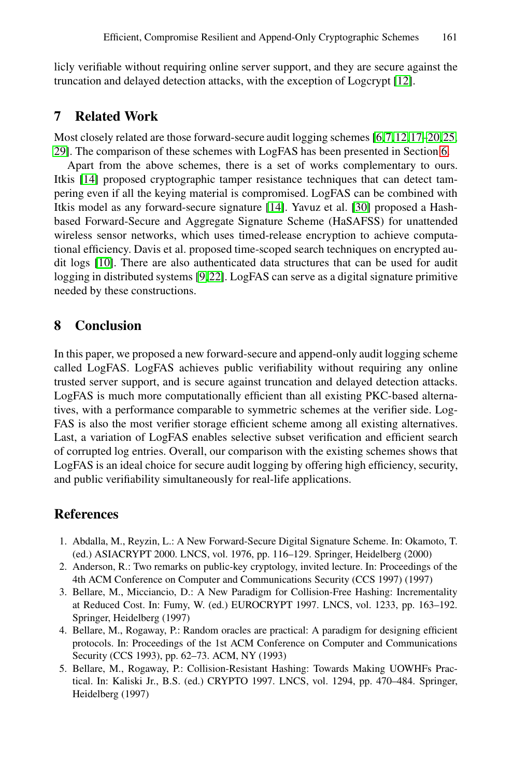licly verifiable without requiring online server support, and they are secure against the truncation and delayed detection attacks, with the exception of Logcrypt [12].

# **7 Related Work**

Most closely related are those forward-secure audit logging schemes [6,7,12,17–20,25, 29]. The comparison of these schemes with LogFAS has been presented in Section 6.

Apart fr[o](#page-14-6)[m th](#page-14-18)e above schemes, there is a set of works complementary to ours. Itkis [14] proposed cryptographic tamper resistance techniques that can detect tampering even if all the keying material is compromised. LogFAS can be combined with Itkis model as any forward-secure signature [14]. Yavuz et al. [30] proposed a Hashbased Forward-Secure and Aggregate Signature Scheme (HaSAFSS) for unattended wireless sensor networks, which uses timed-release encryption to achieve computational efficiency. Davis et al. proposed time-scoped search techniques on encrypted audit logs [10]. There are also authenticated data structures that can be used for audit logging in distributed systems [9,22]. LogFAS can serve as a digital signature primitive needed by these constructions.

# <span id="page-13-0"></span>**8 Conclusion**

<span id="page-13-4"></span><span id="page-13-2"></span><span id="page-13-1"></span>In this paper, we proposed a new forward-secure and append-only audit logging scheme called LogFAS. LogFAS achieves public verifiability without requiring any online trusted server support, and is secure against truncation and delayed detection attacks. LogFAS is much more computationally efficient than all existing PKC-based alternatives, with a performance comparable to symmetric schemes at the verifier side. Log-FAS is also the most verifier storage efficient scheme among all existing alternatives. Last, a variation of LogFAS enables selective subset verification and efficient search of corrupted log entries. Overall, our comparison with the existing schemes shows that LogFAS is an ideal choice for secure audit logging by offering high efficiency, security, and public verifiability simultaneously for real-life applications.

## <span id="page-13-3"></span>**References**

- 1. Abdalla, M., Reyzin, L.: A New Forward-Secure Digital Signature Scheme. In: Okamoto, T. (ed.) ASIACRYPT 2000. LNCS, vol. 1976, pp. 116–129. Springer, Heidelberg (2000)
- 2. Anderson, R.: Two remarks on public-key cryptology, invited lecture. In: Proceedings of the 4th ACM Conference on Computer and Communications Security (CCS 1997) (1997)
- 3. Bellare, M., Micciancio, D.: A New Paradigm for Collision-Free Hashing: Incrementality at Reduced Cost. In: Fumy, W. (ed.) EUROCRYPT 1997. LNCS, vol. 1233, pp. 163–192. Springer, Heidelberg (1997)
- 4. Bellare, M., Rogaway, P.: Random oracles are practical: A paradigm for designing efficient protocols. In: Proceedings of the 1st ACM Conference on Computer and Communications Security (CCS 1993), pp. 62–73. ACM, NY (1993)
- 5. Bellare, M., Rogaway, P.: Collision-Resistant Hashing: Towards Making UOWHFs Practical. In: Kaliski Jr., B.S. (ed.) CRYPTO 1997. LNCS, vol. 1294, pp. 470–484. Springer, Heidelberg (1997)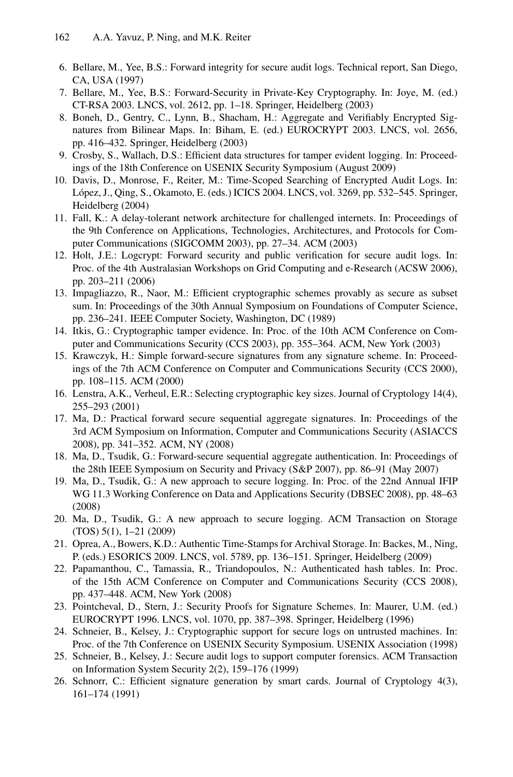- <span id="page-14-14"></span><span id="page-14-9"></span><span id="page-14-6"></span><span id="page-14-2"></span>6. Bellare, M., Yee, B.S.: Forward integrity for secure audit logs. Technical report, San Diego, CA, USA (1997)
- 7. Bellare, M., Yee, B.S.: Forward-Security in Private-Key Cryptography. In: Joye, M. (ed.) CT-RSA 2003. LNCS, vol. 2612, pp. 1–18. Springer, Heidelberg (2003)
- <span id="page-14-5"></span>8. Boneh, D., Gentry, C., Lynn, B., Shacham, H.: Aggregate and Verifiably Encrypted Signatures from Bilinear Maps. In: Biham, E. (ed.) EUROCRYPT 2003. LNCS, vol. 2656, pp. 416–432. Springer, Heidelberg (2003)
- <span id="page-14-7"></span>9. Crosby, S., Wallach, D.S.: Efficient data structures for tamper evident logging. In: Proceedings of the 18th Conference on USENIX Security Symposium (August 2009)
- <span id="page-14-12"></span>10. Davis, D., Monrose, F., Reiter, M.: Time-Scoped Searching of Encrypted Audit Logs. In: L´opez, J., Qing, S., Okamoto, E. (eds.) ICICS 2004. LNCS, vol. 3269, pp. 532–545. Springer, Heidelberg (2004)
- 11. Fall, K.: A delay-tolerant network architecture for challenged internets. In: Proceedings of the 9th Conference on Applications, Technologies, Architectures, and Protocols for Computer Communications (SIGCOMM 2003), pp. 27–34. ACM (2003)
- <span id="page-14-13"></span>12. Holt, J.E.: Logcrypt: Forward security and public verification for secure audit logs. In: Proc. of the 4th Australasian Workshops on Grid Computing and e-Research (ACSW 2006), pp. 203–211 (2006)
- <span id="page-14-16"></span><span id="page-14-3"></span>13. Impagliazzo, R., Naor, M.: Efficient cryptographic schemes provably as secure as subset sum. In: Proceedings of the 30th Annual Symposium on Foundations of Computer Science, pp. 236–241. IEEE Computer Society, Washington, DC (1989)
- 14. Itkis, G.: Cryptographic tamper evidence. In: Proc. of the 10th ACM Conference on Computer and Communications Security (CCS 2003), pp. 355–364. ACM, New York (2003)
- <span id="page-14-8"></span><span id="page-14-0"></span>15. Krawczyk, H.: Simple forward-secure signatures from any signature scheme. In: Proceedings of the 7th ACM Conference on Computer and Communications Security (CCS 2000), pp. 108–115. ACM (2000)
- 16. Lenstra, A.K., Verheul, E.R.: Selecting cryptographic key sizes. Journal of Cryptology 14(4), 255–293 (2001)
- <span id="page-14-4"></span><span id="page-14-1"></span>17. Ma, D.: Practical forward secure sequential aggregate signatures. In: Proceedings of the 3rd ACM Symposium on Information, Computer and Communications Security (ASIACCS 2008), pp. 341–352. ACM, NY (2008)
- <span id="page-14-18"></span>18. Ma, D., Tsudik, G.: Forward-secure sequential aggregate authentication. In: Proceedings of the 28th IEEE Symposium on Security and Privacy (S&P 2007), pp. 86–91 (May 2007)
- <span id="page-14-15"></span>19. Ma, D., Tsudik, G.: A new approach to secure logging. In: Proc. of the 22nd Annual IFIP WG 11.3 Working Conference on Data and Applications Security (DBSEC 2008), pp. 48–63 (2008)
- <span id="page-14-17"></span>20. Ma, D., Tsudik, G.: A new approach to secure logging. ACM Transaction on Storage (TOS) 5(1), 1–21 (2009)
- <span id="page-14-10"></span>21. Oprea, A., Bowers, K.D.: Authentic Time-Stamps for Archival Storage. In: Backes, M., Ning, P. (eds.) ESORICS 2009. LNCS, vol. 5789, pp. 136–151. Springer, Heidelberg (2009)
- <span id="page-14-11"></span>22. Papamanthou, C., Tamassia, R., Triandopoulos, N.: Authenticated hash tables. In: Proc. of the 15th ACM Conference on Computer and Communications Security (CCS 2008), pp. 437–448. ACM, New York (2008)
- 23. Pointcheval, D., Stern, J.: Security Proofs for Signature Schemes. In: Maurer, U.M. (ed.) EUROCRYPT 1996. LNCS, vol. 1070, pp. 387–398. Springer, Heidelberg (1996)
- 24. Schneier, B., Kelsey, J.: Cryptographic support for secure logs on untrusted machines. In: Proc. of the 7th Conference on USENIX Security Symposium. USENIX Association (1998)
- 25. Schneier, B., Kelsey, J.: Secure audit logs to support computer forensics. ACM Transaction on Information System Security 2(2), 159–176 (1999)
- 26. Schnorr, C.: Efficient signature generation by smart cards. Journal of Cryptology 4(3), 161–174 (1991)